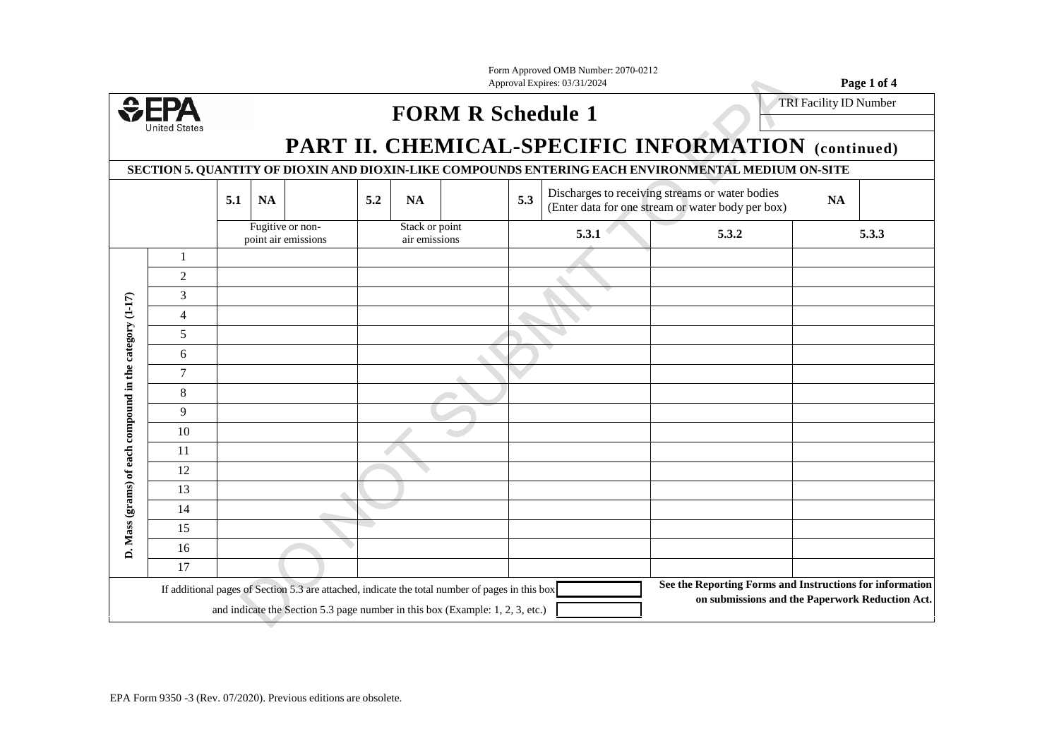| Form Approved OMB Number: 2070-0212 |             |
|-------------------------------------|-------------|
| Approval Expires: 03/31/2024        | Page 1 of 4 |



## **FORM R Schedule 1** TRI Facility ID Number

## **PART II. CHEMICAL-SPECIFIC INFORMATION (continued)**

**SECTION 5. QUANTITY OF DIOXIN AND DIOXIN-LIKE COMPOUNDS ENTERING EACH ENVIRONMENTAL MEDIUM ON-SITE**

|                                                                                                                                                                                  |                | 5.1 | <b>NA</b> |                                         | 5.2 | <b>NA</b>                       |  | 5.3 |       | Discharges to receiving streams or water bodies<br>(Enter data for one stream or water body per box) | NA                                                                                                          |       |
|----------------------------------------------------------------------------------------------------------------------------------------------------------------------------------|----------------|-----|-----------|-----------------------------------------|-----|---------------------------------|--|-----|-------|------------------------------------------------------------------------------------------------------|-------------------------------------------------------------------------------------------------------------|-------|
|                                                                                                                                                                                  |                |     |           | Fugitive or non-<br>point air emissions |     | Stack or point<br>air emissions |  |     | 5.3.1 | 5.3.2                                                                                                |                                                                                                             | 5.3.3 |
|                                                                                                                                                                                  | $\mathbf{1}$   |     |           |                                         |     |                                 |  |     |       |                                                                                                      |                                                                                                             |       |
|                                                                                                                                                                                  | $\overline{2}$ |     |           |                                         |     |                                 |  |     |       |                                                                                                      |                                                                                                             |       |
|                                                                                                                                                                                  | 3              |     |           |                                         |     |                                 |  |     |       |                                                                                                      |                                                                                                             |       |
|                                                                                                                                                                                  | $\overline{4}$ |     |           |                                         |     |                                 |  |     |       |                                                                                                      |                                                                                                             |       |
|                                                                                                                                                                                  | 5              |     |           |                                         |     |                                 |  |     |       |                                                                                                      |                                                                                                             |       |
|                                                                                                                                                                                  | 6              |     |           |                                         |     |                                 |  |     |       |                                                                                                      |                                                                                                             |       |
|                                                                                                                                                                                  | $\overline{7}$ |     |           |                                         |     |                                 |  |     |       |                                                                                                      |                                                                                                             |       |
| D. Mass (grams) of each compound in the category (1-17)                                                                                                                          | 8              |     |           |                                         |     |                                 |  |     |       |                                                                                                      |                                                                                                             |       |
|                                                                                                                                                                                  | 9              |     |           |                                         |     |                                 |  |     |       |                                                                                                      |                                                                                                             |       |
|                                                                                                                                                                                  | 10             |     |           |                                         |     |                                 |  |     |       |                                                                                                      |                                                                                                             |       |
|                                                                                                                                                                                  | 11             |     |           |                                         |     |                                 |  |     |       |                                                                                                      |                                                                                                             |       |
|                                                                                                                                                                                  | 12             |     |           |                                         |     |                                 |  |     |       |                                                                                                      |                                                                                                             |       |
|                                                                                                                                                                                  | 13             |     |           |                                         |     |                                 |  |     |       |                                                                                                      |                                                                                                             |       |
|                                                                                                                                                                                  | 14             |     |           |                                         |     |                                 |  |     |       |                                                                                                      |                                                                                                             |       |
|                                                                                                                                                                                  | 15             |     |           |                                         |     |                                 |  |     |       |                                                                                                      |                                                                                                             |       |
|                                                                                                                                                                                  | 16             |     |           |                                         |     |                                 |  |     |       |                                                                                                      |                                                                                                             |       |
|                                                                                                                                                                                  | 17             |     |           |                                         |     |                                 |  |     |       |                                                                                                      |                                                                                                             |       |
| If additional pages of Section 5.3 are attached, indicate the total number of pages in this box<br>and indicate the Section 5.3 page number in this box (Example: 1, 2, 3, etc.) |                |     |           |                                         |     |                                 |  |     |       |                                                                                                      | See the Reporting Forms and Instructions for information<br>on submissions and the Paperwork Reduction Act. |       |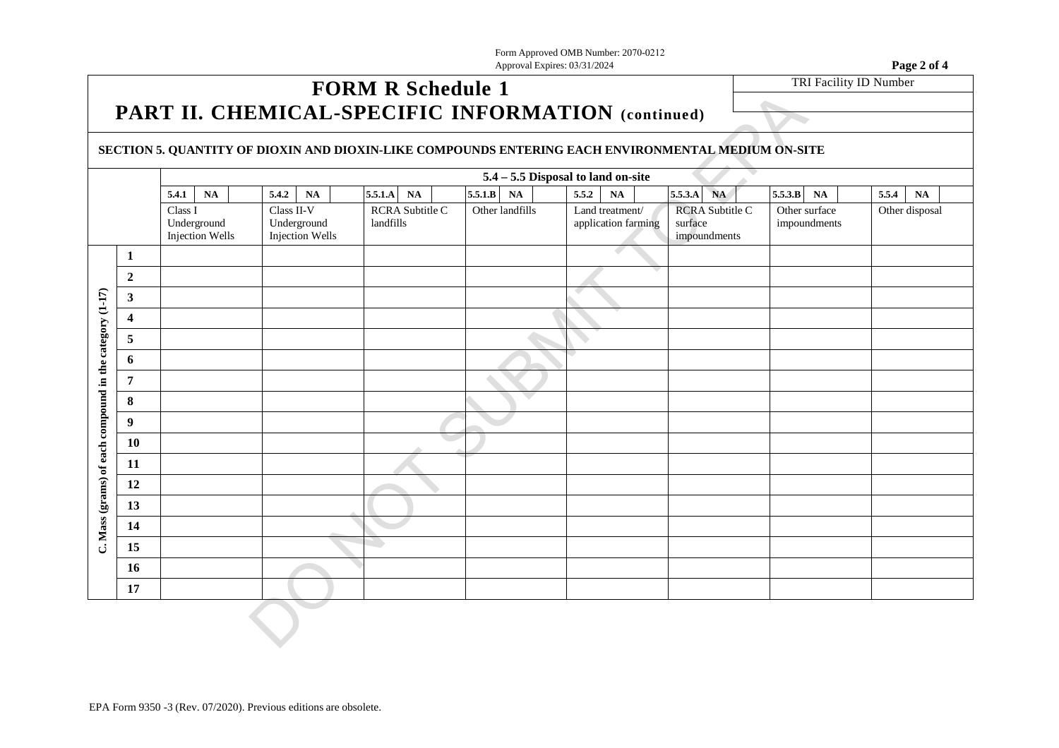Form Approved OMB Number: 2070-0212 Approval Expires: 03/31/2024 **Page 2 of 4**

## **FORM R Schedule 1 PART II. CHEMICAL-SPECIFIC INFORMATION (continued)**

TRI Facility ID Number

 $\sim$ 

## **SECTION 5. QUANTITY OF DIOXIN AND DIOXIN-LIKE COMPOUNDS ENTERING EACH ENVIRONMENTAL MEDIUM ON-SITE**

|                                                         |                         |         |                                |            |                                |               |                 |         | 5.4 - 5.5 Disposal to land on-site |       |                 |                     |         |                                        | z, |                               |                |       |               |  |
|---------------------------------------------------------|-------------------------|---------|--------------------------------|------------|--------------------------------|---------------|-----------------|---------|------------------------------------|-------|-----------------|---------------------|---------|----------------------------------------|----|-------------------------------|----------------|-------|---------------|--|
|                                                         |                         | 5.4.1   | $\mathbf{NA}$                  | 5.4.2      | NA                             | $5.5.1.A$     | $\mathbf{NA}$   | 5.5.1.B | $\mathbf{NA}$                      | 5.5.2 | $\mathbf{NA}$   |                     | 5.5.3.A | NA                                     |    | 5.5.3.B                       | $\mathbf{NA}$  | 5.5.4 | $\mathbf{NA}$ |  |
|                                                         |                         | Class I | Underground<br>Injection Wells | Class II-V | Underground<br>Injection Wells | landfills     | RCRA Subtitle C |         | Other landfills                    |       | Land treatment/ | application farming | surface | <b>RCRA Subtitle C</b><br>impoundments |    | Other surface<br>impoundments | Other disposal |       |               |  |
|                                                         | $\mathbf{1}$            |         |                                |            |                                |               |                 |         |                                    |       |                 |                     |         |                                        |    |                               |                |       |               |  |
|                                                         | $\boldsymbol{2}$        |         |                                |            |                                |               |                 |         |                                    |       |                 |                     |         |                                        |    |                               |                |       |               |  |
|                                                         | $\mathbf{3}$            |         |                                |            |                                |               |                 |         |                                    |       |                 |                     |         |                                        |    |                               |                |       |               |  |
|                                                         | $\overline{\mathbf{4}}$ |         |                                |            |                                |               |                 |         |                                    |       |                 |                     |         |                                        |    |                               |                |       |               |  |
|                                                         | $\sqrt{5}$              |         |                                |            |                                |               |                 |         |                                    |       |                 |                     |         |                                        |    |                               |                |       |               |  |
| C. Mass (grams) of each compound in the category (1-17) | $\boldsymbol{6}$        |         |                                |            |                                |               |                 |         |                                    |       |                 |                     |         |                                        |    |                               |                |       |               |  |
|                                                         | $\overline{7}$          |         |                                |            |                                |               |                 |         |                                    |       |                 |                     |         |                                        |    |                               |                |       |               |  |
|                                                         | $\bf 8$                 |         |                                |            |                                |               |                 |         |                                    |       |                 |                     |         |                                        |    |                               |                |       |               |  |
|                                                         | $\boldsymbol{9}$        |         |                                |            |                                |               |                 |         |                                    |       |                 |                     |         |                                        |    |                               |                |       |               |  |
|                                                         | ${\bf 10}$              |         |                                |            |                                |               |                 |         |                                    |       |                 |                     |         |                                        |    |                               |                |       |               |  |
|                                                         | 11                      |         |                                |            |                                |               |                 |         |                                    |       |                 |                     |         |                                        |    |                               |                |       |               |  |
|                                                         | 12                      |         |                                |            |                                |               |                 |         |                                    |       |                 |                     |         |                                        |    |                               |                |       |               |  |
|                                                         | 13                      |         |                                |            |                                |               |                 |         |                                    |       |                 |                     |         |                                        |    |                               |                |       |               |  |
|                                                         | 14                      |         |                                |            |                                |               |                 |         |                                    |       |                 |                     |         |                                        |    |                               |                |       |               |  |
|                                                         | 15                      |         |                                |            |                                | $\rightarrow$ |                 |         |                                    |       |                 |                     |         |                                        |    |                               |                |       |               |  |
|                                                         | 16                      |         |                                |            |                                |               |                 |         |                                    |       |                 |                     |         |                                        |    |                               |                |       |               |  |
|                                                         | 17                      |         |                                |            |                                |               |                 |         |                                    |       |                 |                     |         |                                        |    |                               |                |       |               |  |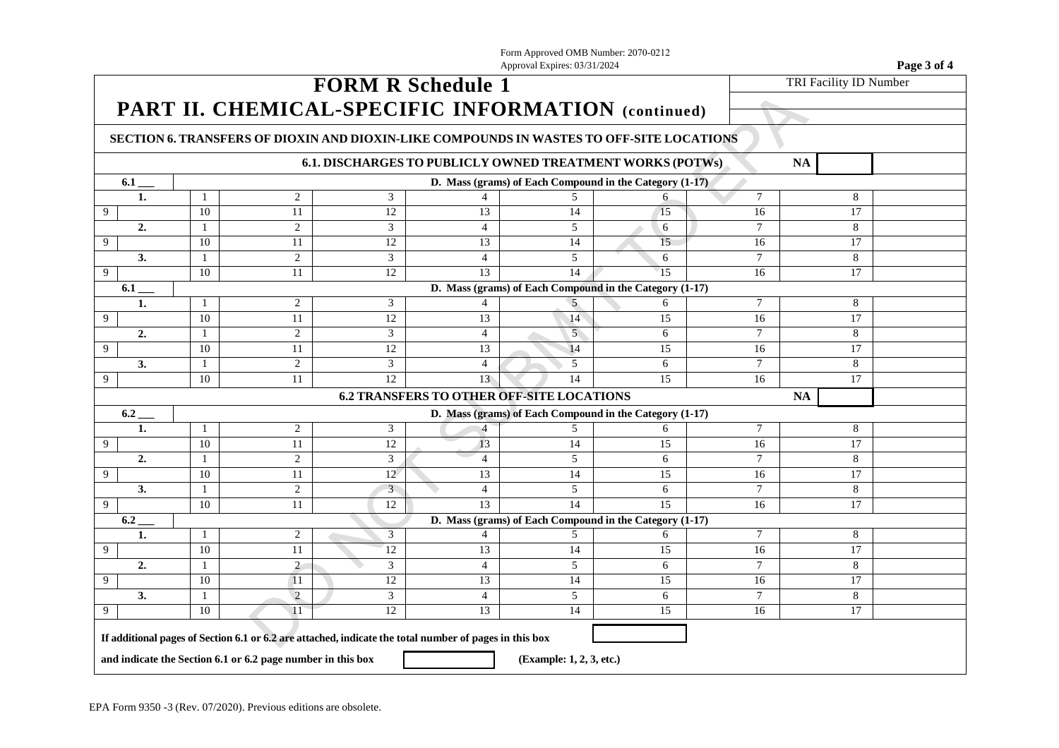Form Approved OMB Number: 2070-0212 Approval Expires: 03/31/2024 **Page 3 of 4 FORM R Schedule 1 PART II. CHEMICAL-SPECIFIC INFORMATION (continued)** TRI Facility ID Number **SECTION 6. TRANSFERS OF DIOXIN AND DIOXIN-LIKE COMPOUNDS IN WASTES TO OFF-SITE LOCATIONS 6.1. DISCHARGES TO PUBLICLY OWNED TREATMENT WORKS (POTWs) NA 6.1 D.** Mass (grams) of Each Compound in the Category (1-17) **1.** 1 2 3 4 5 6 7 8 9 10 11 12 13 14 15 16 17 **2.** 1 2 3 4 5 6 7 8 9 10 11 12 13 14 15 16 17 **3.** 1 2 3 4 5 6 7 8 9 10 11 12 13 14 15 16 16 **6.1 \_\_\_ D. Mass (grams) of Each Compound in the Category (1-17) 1.** 1 2 3 4 5 6 7 8 9 10 11 12 13 14 15 16 16 **2.** 1 2 3 4 5 6 7 8 9 10 11 12 13 14 15 16 16 **3.** 1 2 3 4 5 6 7 8 9 10 11 12 13 14 15 16 16 **6.2 TRANSFERS TO OTHER OFF-SITE LOCATIONS NA 6.2 \_\_\_ D. Mass (grams) of Each Compound in the Category (1-17) 1.** 1 2 3 4 5 6 7 8 9 10 11 12 13 14 15 16 16 **2.** 1 2 3 4 5 6 7 8 9 10 11 12 13 14 15 16 16 **3.** 1 2 3 4 5 6 7 8 9 10 11 12 13 14 15 16 16 **6.2 D.** Mass (grams) of Each Compound in the Category (1-17) **1.** 1 2 3 4 5 6 7 8 9 10 11 12 13 14 15 15 16 17 **2.** 1 2 3 4 5 6 7 8 9 10 11 12 13 14 15 15 16 17 **3.** 1 2 3 4 5 6 7 8 9 10 11 12 13 14 15 16 16 **If additional pages of Section 6.1 or 6.2 are attached, indicate the total number of pages in this box** and indicate the Section 6.1 or 6.2 page number in this box **(Example: 1, 2, 3, etc.)**